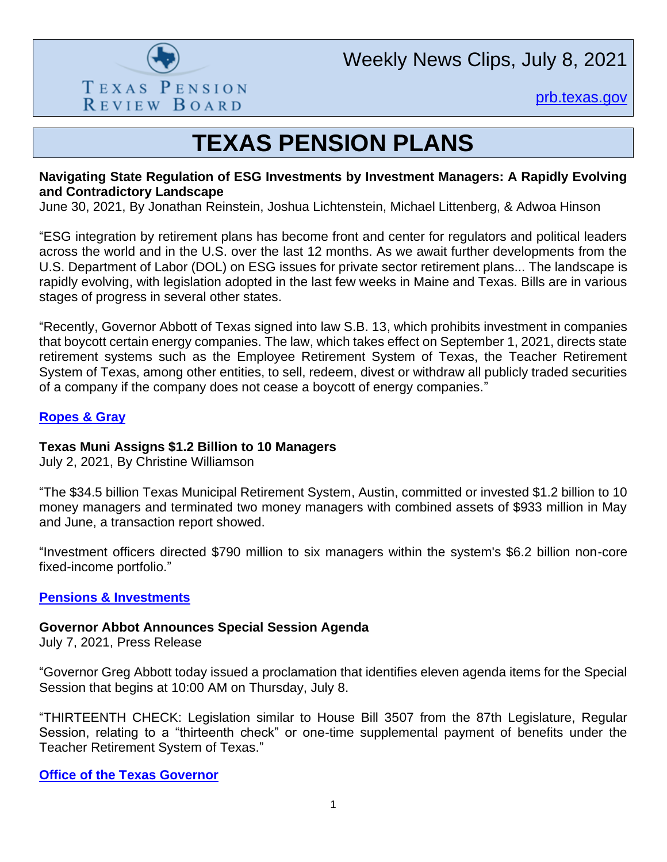

Weekly News Clips, July 8, 2021

[prb.texas.gov](http://www.prb.texas.gov/)

## **TEXAS PENSION PLANS**

#### **Navigating State Regulation of ESG Investments by Investment Managers: A Rapidly Evolving and Contradictory Landscape**

June 30, 2021, By Jonathan Reinstein, Joshua Lichtenstein, Michael Littenberg, & Adwoa Hinson

"ESG integration by retirement plans has become front and center for regulators and political leaders across the world and in the U.S. over the last 12 months. As we await further developments from the U.S. Department of Labor (DOL) on ESG issues for private sector retirement plans... The landscape is rapidly evolving, with legislation adopted in the last few weeks in Maine and Texas. Bills are in various stages of progress in several other states.

"Recently, Governor Abbott of Texas signed into law S.B. 13, which prohibits investment in companies that boycott certain energy companies. The law, which takes effect on September 1, 2021, directs state retirement systems such as the Employee Retirement System of Texas, the Teacher Retirement System of Texas, among other entities, to sell, redeem, divest or withdraw all publicly traded securities of a company if the company does not cease a boycott of energy companies."

#### **[Ropes & Gray](https://www.ropesgray.com/en/newsroom/alerts/2021/June/Navigating-State-Regulation-of-ESG-Investments-by-Investment-Managers-A-Rapidly-Evolving?utm_source=alert&utm_medium=email&utm_campaign=Navigating-State-Regulation-of-ESG-Investments-by-Investment-Managers-A-Rapidly-Evolving)**

#### **Texas Muni Assigns \$1.2 Billion to 10 Managers**

July 2, 2021, By Christine Williamson

"The \$34.5 billion Texas Municipal Retirement System, Austin, committed or invested \$1.2 billion to 10 money managers and terminated two money managers with combined assets of \$933 million in May and June, a transaction report showed.

"Investment officers directed \$790 million to six managers within the system's \$6.2 billion non-core fixed-income portfolio."

#### **[Pensions & Investments](https://www.pionline.com/searches-and-hires/texas-muni-assigns-12-billion-10-managers)**

#### **Governor Abbot Announces Special Session Agenda**

July 7, 2021, Press Release

"Governor Greg Abbott today issued a proclamation that identifies eleven agenda items for the Special Session that begins at 10:00 AM on Thursday, July 8.

"THIRTEENTH CHECK: Legislation similar to House Bill 3507 from the 87th Legislature, Regular Session, relating to a "thirteenth check" or one-time supplemental payment of benefits under the Teacher Retirement System of Texas."

**[Office of the Texas Governor](https://gov.texas.gov/news/post/governor-abbott-announces-special-session-agenda)**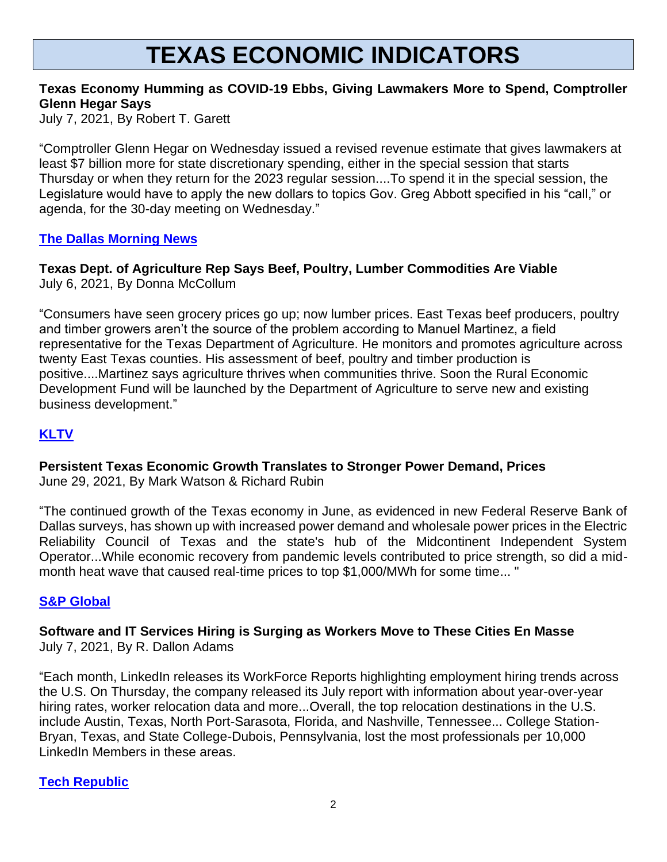# **TEXAS ECONOMIC INDICATORS**

#### **Texas Economy Humming as COVID-19 Ebbs, Giving Lawmakers More to Spend, Comptroller Glenn Hegar Says**

July 7, 2021, By Robert T. Garett

"Comptroller Glenn Hegar on Wednesday issued a revised revenue estimate that gives lawmakers at least \$7 billion more for state discretionary spending, either in the special session that starts Thursday or when they return for the 2023 regular session....To spend it in the special session, the Legislature would have to apply the new dollars to topics Gov. Greg Abbott specified in his "call," or agenda, for the 30-day meeting on Wednesday."

#### **[The Dallas Morning News](https://www.dallasnews.com/news/politics/2021/07/07/texas-economy-is-humming-which-gives-lawmakers-more-to-spend-comptroller-glenn-hegar-says/)**

#### **Texas Dept. of Agriculture Rep Says Beef, Poultry, Lumber Commodities Are Viable** July 6, 2021, By Donna McCollum

"Consumers have seen grocery prices go up; now lumber prices. East Texas beef producers, poultry and timber growers aren't the source of the problem according to Manuel Martinez, a field representative for the Texas Department of Agriculture. He monitors and promotes agriculture across twenty East Texas counties. His assessment of beef, poultry and timber production is positive....Martinez says agriculture thrives when communities thrive. Soon the Rural Economic Development Fund will be launched by the Department of Agriculture to serve new and existing business development."

### **[KLTV](https://www.kltv.com/2021/07/06/texas-dept-agriculture-rep-says-beef-poultry-lumber-commodities-are-viable/)**

### **Persistent Texas Economic Growth Translates to Stronger Power Demand, Prices**

June 29, 2021, By Mark Watson & Richard Rubin

"The continued growth of the Texas economy in June, as evidenced in new Federal Reserve Bank of Dallas surveys, has shown up with increased power demand and wholesale power prices in the Electric Reliability Council of Texas and the state's hub of the Midcontinent Independent System Operator...While economic recovery from pandemic levels contributed to price strength, so did a midmonth heat wave that caused real-time prices to top \$1,000/MWh for some time... "

#### **[S&P Global](https://www.spglobal.com/platts/en/market-insights/latest-news/petrochemicals/062921-persistent-texas-economic-growth-translates-to-stronger-power-demand-prices)**

#### **Software and IT Services Hiring is Surging as Workers Move to These Cities En Masse** July 7, 2021, By R. Dallon Adams

"Each month, LinkedIn releases its WorkForce Reports highlighting employment hiring trends across the U.S. On Thursday, the company released its July report with information about year-over-year hiring rates, worker relocation data and more...Overall, the top relocation destinations in the U.S. include Austin, Texas, North Port-Sarasota, Florida, and Nashville, Tennessee... College Station-Bryan, Texas, and State College-Dubois, Pennsylvania, lost the most professionals per 10,000 LinkedIn Members in these areas.

#### **[Tech Republic](https://www.techrepublic.com/article/software-and-it-services-hiring-is-surging-as-workers-move-to-these-cities-en-masse/)**